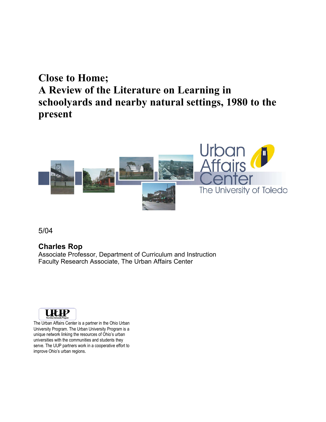# **Close to Home; A Review of the Literature on Learning in schoolyards and nearby natural settings, 1980 to the present**



5/04

#### **Charles Rop**

Associate Professor, Department of Curriculum and Instruction Faculty Research Associate, The Urban Affairs Center



The Urban Affairs Center is a partner in the Ohio Urban University Program. The Urban University Program is a unique network linking the resources of Ohio's urban universities with the communities and students they serve. The UUP partners work in a cooperative effort to improve Ohio's urban regions.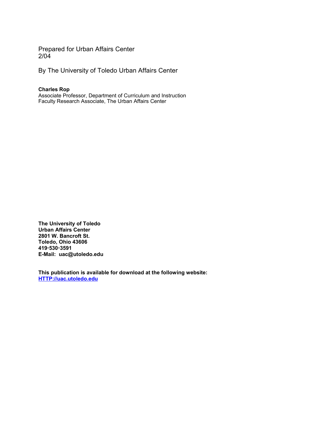Prepared for Urban Affairs Center 2/04

By The University of Toledo Urban Affairs Center

**Charles Rop**

Associate Professor, Department of Curriculum and Instruction Faculty Research Associate, The Urban Affairs Center

**The University of Toledo Urban Affairs Center 2801 W. Bancroft St. Toledo, Ohio 43606 4195303591 E-Mail: uac@utoledo.edu**

**This publication is available for download at the following website: HTTP://uac.utoledo.edu**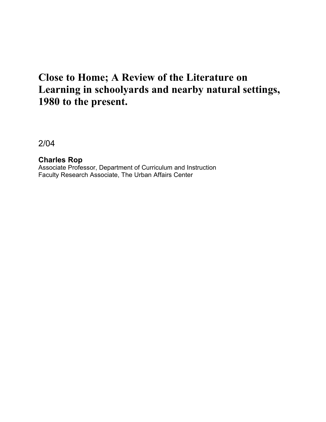# **Close to Home; A Review of the Literature on Learning in schoolyards and nearby natural settings, 1980 to the present.**

2/04

**Charles Rop** Associate Professor, Department of Curriculum and Instruction Faculty Research Associate, The Urban Affairs Center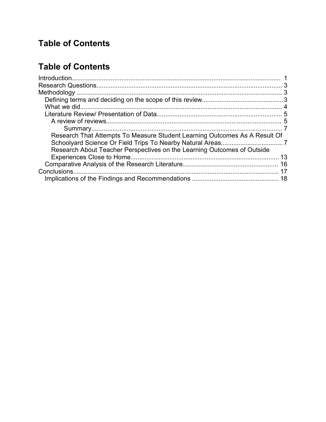# **Table of Contents**

## **Table of Contents**

| Research That Attempts To Measure Student Learning Outcomes As A Result Of |  |
|----------------------------------------------------------------------------|--|
|                                                                            |  |
| Research About Teacher Perspectives on the Learning Outcomes of Outside    |  |
|                                                                            |  |
|                                                                            |  |
|                                                                            |  |
|                                                                            |  |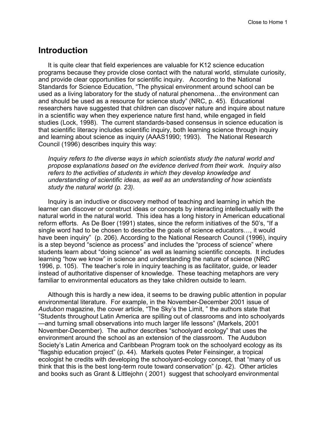#### **Introduction**

It is quite clear that field experiences are valuable for K12 science education programs because they provide close contact with the natural world, stimulate curiosity, and provide clear opportunities for scientific inquiry. According to the National Standards for Science Education, "The physical environment around school can be used as a living laboratory for the study of natural phenomena…the environment can and should be used as a resource for science study" (NRC, p. 45). Educational researchers have suggested that children can discover nature and inquire about nature in a scientific way when they experience nature first hand, while engaged in field studies (Lock, 1998). The current standards-based consensus in science education is that scientific literacy includes scientific inquiry, both learning science through inquiry and learning about science as inquiry (AAAS1990; 1993). The National Research Council (1996) describes inquiry this way:

*Inquiry refers to the diverse ways in which scientists study the natural world and propose explanations based on the evidence derived from their work. Inquiry also refers to the activities of students in which they develop knowledge and understanding of scientific ideas, as well as an understanding of how scientists study the natural world (p. 23).*

Inquiry is an inductive or discovery method of teaching and learning in which the learner can discover or construct ideas or concepts by interacting intellectually with the natural world in the natural world. This idea has a long history in American educational reform efforts. As De Boer (1991) states, since the reform initiatives of the 50's, "If a single word had to be chosen to describe the goals of science educators…, it would have been inquiry" (p. 206). According to the National Research Council (1996), inquirv is a step beyond "science as process" and includes the "process of science" where students learn about "doing science" as well as learning scientific concepts. It includes learning "how we know" in science and understanding the nature of science (NRC 1996, p. 105). The teacher's role in inquiry teaching is as facilitator, guide, or leader instead of authoritative dispenser of knowledge. These teaching metaphors are very familiar to environmental educators as they take children outside to learn.

Although this is hardly a new idea, it seems to be drawing public attention in popular environmental literature. For example, in the November-December 2001 issue of *Audubon* magazine, the cover article, "The Sky's the Limit, " the authors state that "Students throughout Latin America are spilling out of classrooms and into schoolyards —and turning small observations into much larger life lessons" (Markels, 2001 November-December). The author describes "schoolyard ecology" that uses the environment around the school as an extension of the classroom. The Audubon Society's Latin America and Caribbean Program took on the schoolyard ecology as its "flagship education project" (p. 44). Markels quotes Peter Feinsinger, a tropical ecologist he credits with developing the schoolyard-ecology concept, that "many of us think that this is the best long-term route toward conservation" (p. 42). Other articles and books such as Grant & Littlejohn ( 2001) suggest that schoolyard environmental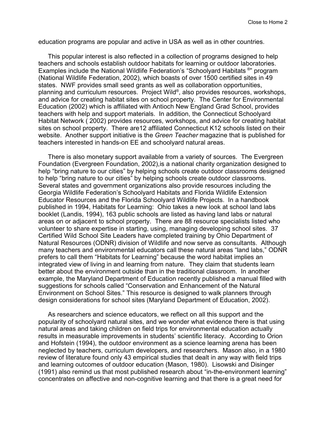education programs are popular and active in USA as well as in other countries.

This popular interest is also reflected in a collection of programs designed to help teachers and schools establish outdoor habitats for learning or outdoor laboratories. Examples include the National Wildlife Federation's "Schoolyard Habitats ®" program (National Wildlife Federation, 2002), which boasts of over 1500 certified sites in 49 states. NWF provides small seed grants as well as collaboration opportunities, planning and curriculum resources. Project Wild ® , also provides resources, workshops, and advice for creating habitat sites on school property. The Center for Environmental Education (2002) which is affiliated with Antioch New England Grad School, provides teachers with help and support materials. In addition, the Connecticut Schoolyard Habitat Network ( 2002) provides resources, workshops, and advice for creating habitat sites on school property. There are12 affiliated Connecticut K12 schools listed on their website. Another support initiative is the *Green Teacher* magazine that is published for teachers interested in hands-on EE and schoolyard natural areas.

There is also monetary support available from a variety of sources. The Evergreen Foundation (Evergreen Foundation, 2002),is a national charity organization designed to help "bring nature to our cities" by helping schools create outdoor classrooms designed to help "bring nature to our cities" by helping schools create outdoor classrooms. Several states and government organizations also provide resources including the Georgia Wildlife Federation's Schoolyard Habitats and Florida Wildlife Extension Educator Resources and the Florida Schoolyard Wildlife Projects. In a handbook published in 1994, Habitats for Learning: Ohio takes a new look at school land labs booklet (Landis, 1994), 163 public schools are listed as having land labs or natural areas on or adjacent to school property. There are 88 resource specialists listed who volunteer to share expertise in starting, using, managing developing school sites. 37 Certified Wild School Site Leaders have completed training by Ohio Department of Natural Resources (ODNR) division of Wildlife and now serve as consultants. Although many teachers and environmental educators call these natural areas "land labs," ODNR prefers to call them "Habitats for Learning" because the word habitat implies an integrated view of living in and learning from nature. They claim that students learn better about the environment outside than in the traditional classroom. In another example, the Maryland Department of Education recently published a manual filled with suggestions for schools called "Conservation and Enhancement of the Natural Environment on School Sites." This resource is designed to walk planners through design considerations for school sites (Maryland Department of Education, 2002).

As researchers and science educators, we reflect on all this support and the popularity of schoolyard natural sites, and we wonder what evidence there is that using natural areas and taking children on field trips for environmental education actually results in measurable improvements in students' scientific literacy. According to Orion and Hofstein (1994), the outdoor environment as a science learning arena has been neglected by teachers, curriculum developers, and researchers. Mason also, in a 1980 review of literature found only 43 empirical studies that dealt in any way with field trips and learning outcomes of outdoor education (Mason, 1980). Lisowski and Disinger (1991) also remind us that most published research about "in-the-environment learning" concentrates on affective and non-cognitive learning and that there is a great need for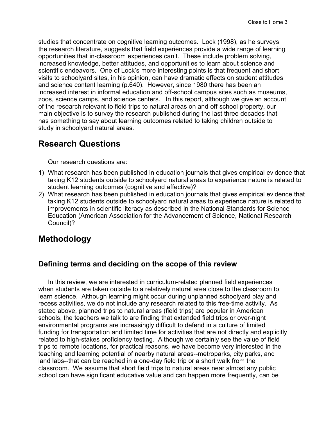studies that concentrate on cognitive learning outcomes. Lock (1998), as he surveys the research literature, suggests that field experiences provide a wide range of learning opportunities that in-classroom experiences can't. These include problem solving, increased knowledge, better attitudes, and opportunities to learn about science and scientific endeavors. One of Lock's more interesting points is that frequent and short visits to schoolyard sites, in his opinion, can have dramatic effects on student attitudes and science content learning (p.640). However, since 1980 there has been an increased interest in informal education and off-school campus sites such as museums, zoos, science camps, and science centers. In this report, although we give an account of the research relevant to field trips to natural areas on and off school property, our main objective is to survey the research published during the last three decades that has something to say about learning outcomes related to taking children outside to study in schoolyard natural areas.

### **Research Questions**

Our research questions are:

- 1) What research has been published in education journals that gives empirical evidence that taking K12 students outside to schoolyard natural areas to experience nature is related to student learning outcomes (cognitive and affective)?
- 2) What research has been published in education journals that gives empirical evidence that taking K12 students outside to schoolyard natural areas to experience nature is related to improvements in scientific literacy as described in the National Standards for Science Education (American Association for the Advancement of Science, National Research Council)?

## **Methodology**

#### **Defining terms and deciding on the scope of this review**

In this review, we are interested in curriculum-related planned field experiences when students are taken outside to a relatively natural area close to the classroom to learn science. Although learning might occur during unplanned schoolyard play and recess activities, we do not include any research related to this free-time activity. As stated above, planned trips to natural areas (field trips) are popular in American schools, the teachers we talk to are finding that extended field trips or over-night environmental programs are increasingly difficult to defend in a culture of limited funding for transportation and limited time for activities that are not directly and explicitly related to high-stakes proficiency testing. Although we certainly see the value of field trips to remote locations, for practical reasons, we have become very interested in the teaching and learning potential of nearby natural areas--metroparks, city parks, and land labs--that can be reached in a one-day field trip or a short walk from the classroom. We assume that short field trips to natural areas near almost any public school can have significant educative value and can happen more frequently, can be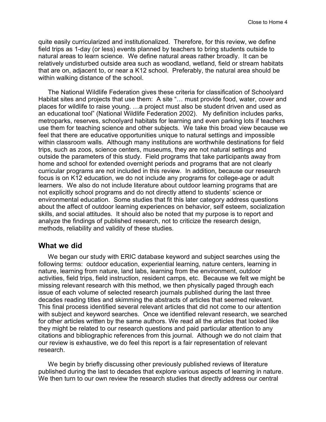quite easily curricularized and institutionalized. Therefore, for this review, we define field trips as 1-day (or less) events planned by teachers to bring students outside to natural areas to learn science. We define natural areas rather broadly. It can be relatively undisturbed outside area such as woodland, wetland, field or stream habitats that are on, adjacent to, or near a K12 school. Preferably, the natural area should be within walking distance of the school.

The National Wildlife Federation gives these criteria for classification of Schoolyard Habitat sites and projects that use them: A site "… must provide food, water, cover and places for wildlife to raise young. …a project must also be student driven and used as an educational tool" (National Wildlife Federation 2002). My definition includes parks, metroparks, reserves, schoolyard habitats for learning and even parking lots if teachers use them for teaching science and other subjects. We take this broad view because we feel that there are educative opportunities unique to natural settings and impossible within classroom walls. Although many institutions are worthwhile destinations for field trips, such as zoos, science centers, museums, they are not natural settings and outside the parameters of this study. Field programs that take participants away from home and school for extended overnight periods and programs that are not clearly curricular programs are not included in this review. In addition, because our research focus is on K12 education, we do not include any programs for college-age or adult learners. We also do not include literature about outdoor learning programs that are not explicitly school programs and do not directly attend to students' science or environmental education. Some studies that fit this later category address questions about the affect of outdoor learning experiences on behavior, self esteem, socialization skills, and social attitudes. It should also be noted that my purpose is to report and analyze the findings of published research, not to criticize the research design, methods, reliability and validity of these studies.

#### **What we did**

We began our study with ERIC database keyword and subject searches using the following terms: outdoor education, experiential learning, nature centers, learning in nature, learning from nature, land labs, learning from the environment, outdoor activities, field trips, field instruction, resident camps, etc. Because we felt we might be missing relevant research with this method, we then physically paged through each issue of each volume of selected research journals published during the last three decades reading titles and skimming the abstracts of articles that seemed relevant. This final process identified several relevant articles that did not come to our attention with subject and keyword searches. Once we identified relevant research, we searched for other articles written by the same authors. We read all the articles that looked like they might be related to our research questions and paid particular attention to any citations and bibliographic references from this journal. Although we do not claim that our review is exhaustive, we do feel this report is a fair representation of relevant research.

We begin by briefly discussing other previously published reviews of literature published during the last to decades that explore various aspects of learning in nature. We then turn to our own review the research studies that directly address our central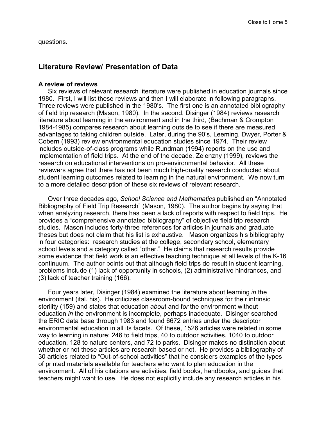questions.

#### **Literature Review/ Presentation of Data**

#### **A review of reviews**

Six reviews of relevant research literature were published in education journals since 1980. First, I will list these reviews and then I will elaborate in following paragraphs. Three reviews were published in the 1980's. The first one is an annotated bibliography of field trip research (Mason, 1980). In the second, Disinger (1984) reviews research literature about learning in the environment and in the third, (Bachman & Crompton 1984-1985) compares research about learning outside to see if there are measured advantages to taking children outside. Later, during the 90's, Leeming, Dwyer, Porter & Cobern (1993) review environmental education studies since 1974. Their review includes outside-of-class programs while Rundman (1994) reports on the use and implementation of field trips. At the end of the decade, Zelenzny (1999), reviews the research on educational interventions on pro-environmental behavior. All these reviewers agree that there has not been much high-quality research conducted about student learning outcomes related to learning in the natural environment. We now turn to a more detailed description of these six reviews of relevant research.

Over three decades ago, *School Science and Mathematics* published an "Annotated Bibliography of Field Trip Research" (Mason, 1980). The author begins by saying that when analyzing research, there has been a lack of reports with respect to field trips. He provides a "comprehensive annotated bibliography" of objective field trip research studies. Mason includes forty-three references for articles in journals and graduate theses but does not claim that his list is exhaustive. Mason organizes his bibliography in four categories: research studies at the college, secondary school, elementary school levels and a category called "other." He claims that research results provide some evidence that field work is an effective teaching technique at all levels of the K-16 continuum. The author points out that although field trips do result in student learning, problems include (1) lack of opportunity in schools, (2) administrative hindrances, and (3) lack of teacher training (166).

Four years later, Disinger (1984) examined the literature about learning *in* the environment (ital. his). He criticizes classroom-bound techniques for their intrinsic sterility (159) and states that education *abou*t and f*or* the environment without education *in* the environment is incomplete, perhaps inadequate. Disinger searched the ERIC data base through 1983 and found 6672 entries under the descriptor environmental education in all its facets. Of these, 1526 articles were related in some way to learning in nature: 246 to field trips, 40 to outdoor activities, 1040 to outdoor education, 128 to nature centers, and 72 to parks. Disinger makes no distinction about whether or not these articles are research based or not. He provides a bibliography of 30 articles related to "Out-of-school activities" that he considers examples of the types of printed materials available for teachers who want to plan education in the environment. All of his citations are activities, field books, handbooks, and guides that teachers might want to use. He does not explicitly include any research articles in his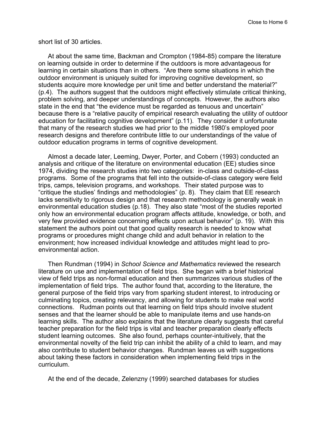short list of 30 articles.

At about the same time, Backman and Crompton (1984-85) compare the literature on learning outside in order to determine if the outdoors is more advantageous for learning in certain situations than in others. "Are there some situations in which the outdoor environment is uniquely suited for improving cognitive development, so students acquire more knowledge per unit time and better understand the material?" (p.4). The authors suggest that the outdoors might effectively stimulate critical thinking, problem solving, and deeper understandings of concepts. However, the authors also state in the end that "the evidence must be regarded as tenuous and uncertain" because there is a "relative paucity of empirical research evaluating the utility of outdoor education for facilitating cognitive development" (p.11). They consider it unfortunate that many of the research studies we had prior to the middle 1980's employed poor research designs and therefore contribute little to our understandings of the value of outdoor education programs in terms of cognitive development.

Almost a decade later, Leeming, Dwyer, Porter, and Cobern (1993) conducted an analysis and critique of the literature on environmental education (EE) studies since 1974, dividing the research studies into two categories: in-class and outside-of-class programs. Some of the programs that fell into the outside-of-class category were field trips, camps, television programs, and workshops. Their stated purpose was to "critique the studies' findings and methodologies" (p. 8). They claim that EE research lacks sensitivity to rigorous design and that research methodology is generally weak in environmental education studies (p.18). They also state "most of the studies reported only how an environmental education program affects attitude, knowledge, or both, and very few provided evidence concerning effects upon actual behavior" (p. 19). With this statement the authors point out that good quality research is needed to know what programs or procedures might change child and adult behavior in relation to the environment; how increased individual knowledge and attitudes might lead to proenvironmental action.

Then Rundman (1994) in *School Science and Mathematics* reviewed the research literature on use and implementation of field trips. She began with a brief historical view of field trips as non-formal education and then summarizes various studies of the implementation of field trips. The author found that, according to the literature, the general purpose of the field trips vary from sparking student interest, to introducing or culminating topics, creating relevancy, and allowing for students to make real world connections. Rudman points out that learning on field trips should involve student senses and that the learner should be able to manipulate items and use hands-on learning skills. The author also explains that the literature clearly suggests that careful teacher preparation for the field trips is vital and teacher preparation clearly effects student learning outcomes. She also found, perhaps counter-intuitively, that the environmental novelty of the field trip can inhibit the ability of a child to learn, and may also contribute to student behavior changes. Rundman leaves us with suggestions about taking these factors in consideration when implementing field trips in the curriculum.

At the end of the decade, Zelenzny (1999) searched databases for studies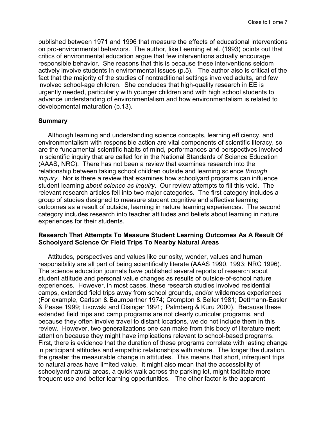published between 1971 and 1996 that measure the effects of educational interventions on pro-environmental behaviors. The author, like Leeming et al. (1993) points out that critics of environmental education argue that few interventions actually encourage responsible behavior. She reasons that this is because these interventions seldom actively involve students in environmental issues (p.5). The author also is critical of the fact that the majority of the studies of nontraditional settings involved adults, and few involved school-age children. She concludes that high-quality research in EE is urgently needed, particularly with younger children and with high school students to advance understanding of environmentalism and how environmentalism is related to developmental maturation (p.13).

#### **Summary**

Although learning and understanding science concepts, learning efficiency, and environmentalism with responsible action are vital components of scientific literacy, so are the fundamental scientific habits of mind, performances and perspectives involved in scientific inquiry that are called for in the National Standards of Science Education (AAAS, NRC). There has not been a review that examines research into the relationship between taking school children outside and learning science *through inquiry*. Nor is there a review that examines how schoolyard programs can influence student learning *about science as inquiry*. Our review attempts to fill this void. The relevant research articles fell into two major categories. The first category includes a group of studies designed to measure student cognitive and affective learning outcomes as a result of outside, learning in nature learning experiences. The second category includes research into teacher attitudes and beliefs about learning in nature experiences for their students.

#### **Research That Attempts To Measure Student Learning Outcomes As A Result Of Schoolyard Science Or Field Trips To Nearby Natural Areas**

Attitudes, perspectives and values like curiosity, wonder, values and human responsibility are all part of being scientifically literate (AAAS 1990, 1993; NRC 1996). The science education journals have published several reports of research about student attitude and personal value changes as results of outside-of-school nature experiences. However, in most cases, these research studies involved residential camps, extended field trips away from school grounds, and/or wilderness experiences (For example, Carlson & Baumbartner 1974; Crompton & Seller 1981; Dettmann-Easler & Pease 1999; Lisowski and Disinger 1991; Palmberg & Kuru 2000). Because these extended field trips and camp programs are not clearly curricular programs, and because they often involve travel to distant locations, we do not include them in this review. However, two generalizations one can make from this body of literature merit attention because they might have implications relevant to school-based programs. First, there is evidence that the duration of these programs correlate with lasting change in participant attitudes and empathic relationships with nature. The longer the duration, the greater the measurable change in attitudes. This means that short, infrequent trips to natural areas have limited value. It might also mean that the accessibility of schoolyard natural areas, a quick walk across the parking lot, might facilitate more frequent use and better learning opportunities. The other factor is the apparent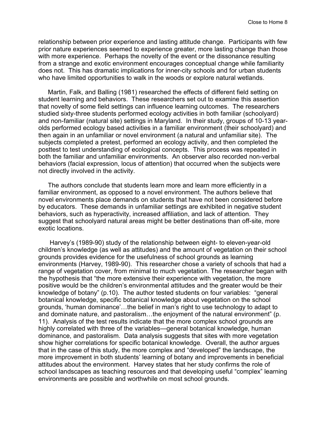relationship between prior experience and lasting attitude change. Participants with few prior nature experiences seemed to experience greater, more lasting change than those with more experience. Perhaps the novelty of the event or the dissonance resulting from a strange and exotic environment encourages conceptual change while familiarity does not. This has dramatic implications for inner-city schools and for urban students who have limited opportunities to walk in the woods or explore natural wetlands.

Martin, Falk, and Balling (1981) researched the effects of different field setting on student learning and behaviors. These researchers set out to examine this assertion that novelty of some field settings can influence learning outcomes. The researchers studied sixty-three students performed ecology activities in both familiar (schoolyard) and non-familiar (natural site) settings in Maryland. In their study, groups of 10-13 yearolds performed ecology based activities in a familiar environment (their schoolyard) and then again in an unfamiliar or novel environment (a natural and unfamiliar site). The subjects completed a pretest, performed an ecology activity, and then completed the posttest to test understanding of ecological concepts. This process was repeated in both the familiar and unfamiliar environments. An observer also recorded non-verbal behaviors (facial expression, locus of attention) that occurred when the subjects were not directly involved in the activity.

The authors conclude that students learn more and learn more efficiently in a familiar environment, as opposed to a novel environment. The authors believe that novel environments place demands on students that have not been considered before by educators. These demands in unfamiliar settings are exhibited in negative student behaviors, such as hyperactivity, increased affiliation, and lack of attention. They suggest that schoolyard natural areas might be better destinations than off-site, more exotic locations.

Harvey's (1989-90) study of the relationship between eight- to eleven-year-old children's knowledge (as well as attitudes) and the amount of vegetation on their school grounds provides evidence for the usefulness of school grounds as learning environments (Harvey, 1989-90). This researcher chose a variety of schools that had a range of vegetation cover, from minimal to much vegetation. The researcher began with the hypothesis that "the more extensive their experience with vegetation, the more positive would be the children's environmental attitudes and the greater would be their knowledge of botany" (p.10). The author tested students on four variables: "general botanical knowledge, specific botanical knowledge about vegetation on the school grounds, 'human dominance'…the belief in man's right to use technology to adapt to and dominate nature, and pastoralism…the enjoyment of the natural environment" (p. 11). Analysis of the test results indicate that the more complex school grounds are highly correlated with three of the variables—general botanical knowledge, human dominance, and pastoralism. Data analysis suggests that sites with more vegetation show higher correlations for specific botanical knowledge. Overall, the author argues that in the case of this study, the more complex and "developed" the landscape, the more improvement in both students' learning of botany and improvements in beneficial attitudes about the environment. Harvey states that her study confirms the role of school landscapes as teaching resources and that developing useful "complex" learning environments are possible and worthwhile on most school grounds.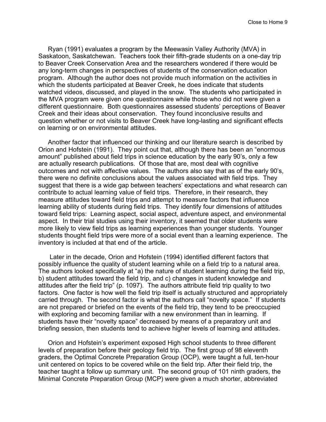Ryan (1991) evaluates a program by the Meewasin Valley Authority (MVA) in Saskatoon, Saskatchewan. Teachers took their fifth-grade students on a one-day trip to Beaver Creek Conservation Area and the researchers wondered if there would be any long-term changes in perspectives of students of the conservation education program. Although the author does not provide much information on the activities in which the students participated at Beaver Creek, he does indicate that students watched videos, discussed, and played in the snow. The students who participated in the MVA program were given one questionnaire while those who did not were given a different questionnaire. Both questionnaires assessed students' perceptions of Beaver Creek and their ideas about conservation. They found inconclusive results and question whether or not visits to Beaver Creek have long-lasting and significant effects on learning or on environmental attitudes.

Another factor that influenced our thinking and our literature search is described by Orion and Hofstein (1991). They point out that, although there has been an "enormous amount" published about field trips in science education by the early 90's, only a few are actually research publications. Of those that are, most deal with cognitive outcomes and not with affective values. The authors also say that as of the early 90's, there were no definite conclusions about the values associated with field trips. They suggest that there is a wide gap between teachers' expectations and what research can contribute to actual learning value of field trips. Therefore, in their research, they measure attitudes toward field trips and attempt to measure factors that influence learning ability of students during field trips. They identify four dimensions of attitudes toward field trips: Learning aspect, social aspect, adventure aspect, and environmental aspect. In their trial studies using their inventory, it seemed that older students were more likely to view field trips as learning experiences than younger students. Younger students thought field trips were more of a social event than a learning experience. The inventory is included at that end of the article.

Later in the decade, Orion and Hofstein (1994) identified different factors that possibly influence the quality of student learning while on a field trip to a natural area. The authors looked specifically at "a) the nature of student learning during the field trip, b) student attitudes toward the field trip, and c) changes in student knowledge and attitudes after the field trip" (p. 1097). The authors attribute field trip quality to two factors. One factor is how well the field trip itself is actually structured and appropriately carried through. The second factor is what the authors call "novelty space." If students are not prepared or briefed on the events of the field trip, they tend to be preoccupied with exploring and becoming familiar with a new environment than in learning. If students have their "novelty space" decreased by means of a preparatory unit and briefing session, then students tend to achieve higher levels of learning and attitudes.

Orion and Hofstein's experiment exposed High school students to three different levels of preparation before their geology field trip. The first group of 98 eleventh graders, the Optimal Concrete Preparation Group (OCP), were taught a full, ten-hour unit centered on topics to be covered while on the field trip. After their field trip, the teacher taught a follow up summary unit. The second group of 101 ninth graders, the Minimal Concrete Preparation Group (MCP) were given a much shorter, abbreviated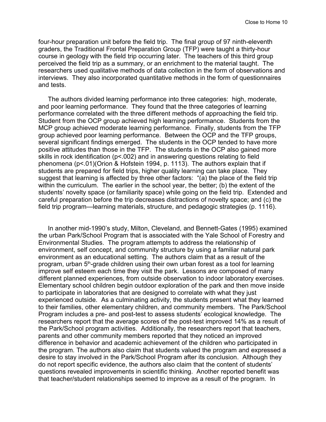four-hour preparation unit before the field trip. The final group of 97 ninth-eleventh graders, the Traditional Frontal Preparation Group (TFP) were taught a thirty-hour course in geology with the field trip occurring later. The teachers of this third group perceived the field trip as a summary, or an enrichment to the material taught. The researchers used qualitative methods of data collection in the form of observations and interviews. They also incorporated quantitative methods in the form of questionnaires and tests.

The authors divided learning performance into three categories: high, moderate, and poor learning performance. They found that the three categories of learning performance correlated with the three different methods of approaching the field trip. Student from the OCP group achieved high learning performance. Students from the MCP group achieved moderate learning performance. Finally, students from the TFP group achieved poor learning performance. Between the OCP and the TFP groups, several significant findings emerged. The students in the OCP tended to have more positive attitudes than those in the TFP. The students in the OCP also gained more skills in rock identification (p<.002) and in answering questions relating to field phenomena (p<.01)(Orion & Hofstein 1994, p. 1113). The authors explain that if students are prepared for field trips, higher quality learning can take place. They suggest that learning is affected by three other factors: "(a) the place of the field trip within the curriculum. The earlier in the school year, the better; (b) the extent of the students' novelty space (or familiarity space) while going on the field trip. Extended and careful preparation before the trip decreases distractions of novelty space; and (c) the field trip program—learning materials, structure, and pedagogic strategies (p. 1116).

In another mid-1990's study, Milton, Cleveland, and Bennett-Gates (1995) examined the urban Park/School Program that is associated with the Yale School of Forestry and Environmental Studies. The program attempts to address the relationship of environment, self concept, and community structure by using a familiar natural park environment as an educational setting. The authors claim that as a result of the program, urban 5<sup>th</sup>-grade children using their own urban forest as a tool for learning improve self esteem each time they visit the park. Lessons are composed of many different planned experiences, from outside observation to indoor laboratory exercises. Elementary school children begin outdoor exploration of the park and then move inside to participate in laboratories that are designed to correlate with what they just experienced outside. As a culminating activity, the students present what they learned to their families, other elementary children, and community members. The Park/School Program includes a pre- and post-test to assess students' ecological knowledge. The researchers report that the average scores of the post-test improved 14% as a result of the Park/School program activities. Additionally, the researchers report that teachers, parents and other community members reported that they noticed an improved difference in behavior and academic achievement of the children who participated in the program. The authors also claim that students valued the program and expressed a desire to stay involved in the Park/School Program after its conclusion. Although they do not report specific evidence, the authors also claim that the content of students' questions revealed improvements in scientific thinking. Another reported benefit was that teacher/student relationships seemed to improve as a result of the program. In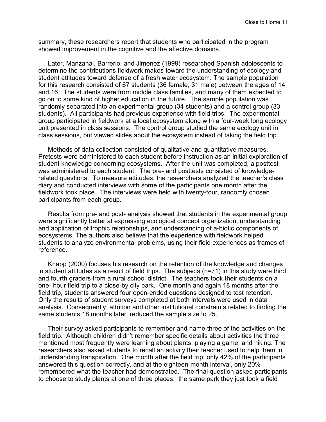summary, these researchers report that students who participated in the program showed improvement in the cognitive and the affective domains.

Later, Manzanal, Barrerio, and Jimenez (1999) researched Spanish adolescents to determine the contributions fieldwork makes toward the understanding of ecology and student attitudes toward defense of a fresh water ecosystem. The sample population for this research consisted of 67 students (36 female, 31 male) between the ages of 14 and 16. The students were from middle class families, and many of them expected to go on to some kind of higher education in the future. The sample population was randomly separated into an experimental group (34 students) and a control group (33 students). All participants had previous experience with field trips. The experimental group participated in fieldwork at a local ecosystem along with a four-week long ecology unit presented in class sessions. The control group studied the same ecology unit in class sessions, but viewed slides about the ecosystem instead of taking the field trip.

Methods of data collection consisted of qualitative and quantitative measures. Pretests were administered to each student before instruction as an initial exploration of student knowledge concerning ecosystems. After the unit was completed, a posttest was administered to each student. The pre- and posttests consisted of knowledgerelated questions. To measure attitudes, the researchers analyzed the teacher's class diary and conducted interviews with some of the participants one month after the fieldwork took place. The interviews were held with twenty-four, randomly chosen participants from each group.

Results from pre- and post- analysis showed that students in the experimental group were significantly better at expressing ecological concept organization, understanding and application of trophic relationships, and understanding of a-biotic components of ecosystems. The authors also believe that the experience with fieldwork helped students to analyze environmental problems, using their field experiences as frames of reference.

Knapp (2000) focuses his research on the retention of the knowledge and changes in student attitudes as a result of field trips. The subjects (n=71) in this study were third and fourth graders from a rural school district. The teachers took their students on a one- hour field trip to a close-by city park. One month and again 18 months after the field trip, students answered four open-ended questions designed to test retention. Only the results of student surveys completed at both intervals were used in data analysis. Consequently, attrition and other institutional constraints related to finding the same students 18 months later, reduced the sample size to 25.

Their survey asked participants to remember and name three of the activities on the field trip. Although children didn't remember specific details about activities the three mentioned most frequently were learning about plants, playing a game, and hiking. The researchers also asked students to recall an activity their teacher used to help them in understanding transpiration. One month after the field trip, only 42% of the participants answered this question correctly, and at the eighteen-month interval, only 20% remembered what the teacher had demonstrated. The final question asked participants to choose to study plants at one of three places: the same park they just took a field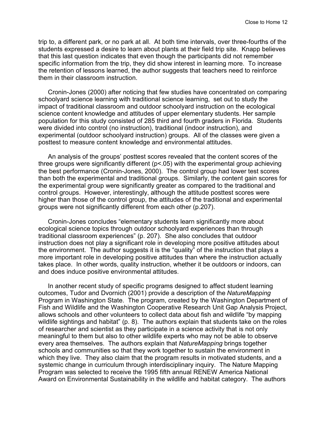trip to, a different park, or no park at all. At both time intervals, over three-fourths of the students expressed a desire to learn about plants at their field trip site. Knapp believes that this last question indicates that even though the participants did not remember specific information from the trip, they did show interest in learning more. To increase the retention of lessons learned, the author suggests that teachers need to reinforce them in their classroom instruction.

Cronin-Jones (2000) after noticing that few studies have concentrated on comparing schoolyard science learning with traditional science learning, set out to study the impact of traditional classroom and outdoor schoolyard instruction on the ecological science content knowledge and attitudes of upper elementary students. Her sample population for this study consisted of 285 third and fourth graders in Florida. Students were divided into control (no instruction), traditional (indoor instruction), and experimental (outdoor schoolyard instruction) groups. All of the classes were given a posttest to measure content knowledge and environmental attitudes.

An analysis of the groups' posttest scores revealed that the content scores of the three groups were significantly different (p<.05) with the experimental group achieving the best performance (Cronin-Jones, 2000). The control group had lower test scores than both the experimental and traditional groups. Similarly, the content gain scores for the experimental group were significantly greater as compared to the traditional and control groups. However, interestingly, although the attitude posttest scores were higher than those of the control group, the attitudes of the traditional and experimental groups were not significantly different from each other (p.207).

Cronin-Jones concludes "elementary students learn significantly more about ecological science topics through outdoor schoolyard experiences than through traditional classroom experiences" (p. 207). She also concludes that outdoor instruction does not play a significant role in developing more positive attitudes about the environment. The author suggests it is the "quality" of the instruction that plays a more important role in developing positive attitudes than where the instruction actually takes place. In other words, quality instruction, whether it be outdoors or indoors, can and does induce positive environmental attitudes.

In another recent study of specific programs designed to affect student learning outcomes, Tudor and Dvornich (2001) provide a description of the *NatureMapping* Program in Washington State. The program, created by the Washington Department of Fish and Wildlife and the Washington Cooperative Research Unit Gap Analysis Project, allows schools and other volunteers to collect data about fish and wildlife "by mapping wildlife sightings and habitat" (p. 8). The authors explain that students take on the roles of researcher and scientist as they participate in a science activity that is not only meaningful to them but also to other wildlife experts who may not be able to observe every area themselves. The authors explain that *NatureMapping* brings together schools and communities so that they work together to sustain the environment in which they live. They also claim that the program results in motivated students, and a systemic change in curriculum through interdisciplinary inquiry. The Nature Mapping Program was selected to receive the 1995 fifth annual RENEW America National Award on Environmental Sustainability in the wildlife and habitat category. The authors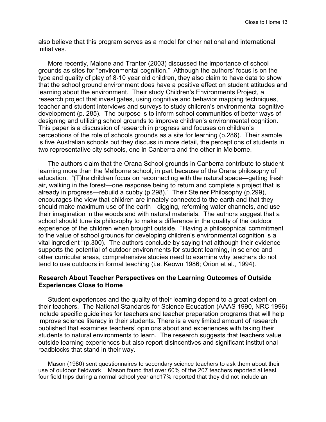also believe that this program serves as a model for other national and international initiatives.

More recently, Malone and Tranter (2003) discussed the importance of school grounds as sites for "environmental cognition." Although the authors' focus is on the type and quality of play of 8-10 year old children, they also claim to have data to show that the school ground environment does have a positive effect on student attitudes and learning about the environment. Their study Children's Environments Project, a research project that investigates, using cognitive and behavior mapping techniques, teacher and student interviews and surveys to study children's environmental cognitive development (p. 285). The purpose is to inform school communities of better ways of designing and utilizing school grounds to improve children's environmental cognition. This paper is a discussion of research in progress and focuses on children's perceptions of the role of schools grounds as a site for learning (p.286). Their sample is five Australian schools but they discuss in more detail, the perceptions of students in two representative city schools, one in Canberra and the other in Melborne.

The authors claim that the Orana School grounds in Canberra contribute to student learning more than the Melborne school, in part because of the Orana philosophy of education. "(T)he children focus on reconnecting with the natural space—getting fresh air, walking in the forest—one response being to return and complete a project that is already in progress—rebuild a cubby (p.298)." Their Steiner Philosophy (p.299), encourages the view that children are innately connected to the earth and that they should make maximum use of the earth—digging, reforming water channels, and use their imagination in the woods and with natural materials. The authors suggest that a school should tune its philosophy to make a difference in the quality of the outdoor experience of the children when brought outside. "Having a philosophical commitment to the value of school grounds for developing children's environmental cognition is a vital ingredient "(p.300). The authors conclude by saying that although their evidence supports the potential of outdoor environments for student learning, in science and other curricular areas, comprehensive studies need to examine why teachers do not tend to use outdoors in formal teaching (i.e. Keown 1986; Orion et al., 1994).

#### **Research About Teacher Perspectives on the Learning Outcomes of Outside Experiences Close to Home**

Student experiences and the quality of their learning depend to a great extent on their teachers. The National Standards for Science Education (AAAS 1990, NRC 1996) include specific guidelines for teachers and teacher preparation programs that will help improve science literacy in their students. There is a very limited amount of research published that examines teachers' opinions about and experiences with taking their students to natural environments to learn. The research suggests that teachers value outside learning experiences but also report disincentives and significant institutional roadblocks that stand in their way.

Mason (1980) sent questionnaires to secondary science teachers to ask them about their use of outdoor fieldwork. Mason found that over 60% of the 207 teachers reported at least four field trips during a normal school year and17% reported that they did not include an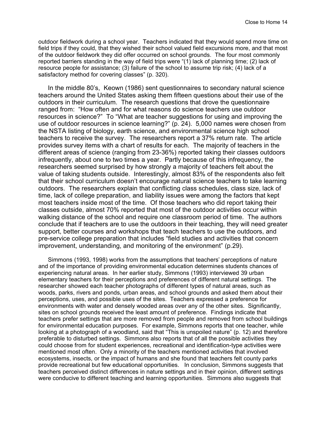outdoor fieldwork during a school year. Teachers indicated that they would spend more time on field trips if they could, that they wished their school valued field excursions more, and that most of the outdoor fieldwork they did offer occurred on school grounds. The four most commonly reported barriers standing in the way of field trips were "(1) lack of planning time; (2) lack of resource people for assistance; (3) failure of the school to assume trip risk; (4) lack of a satisfactory method for covering classes" (p. 320).

In the middle 80's, Keown (1986) sent questionnaires to secondary natural science teachers around the United States asking them fifteen questions about their use of the outdoors in their curriculum. The research questions that drove the questionnaire ranged from: "How often and for what reasons do science teachers use outdoor resources in science?" To "What are teacher suggestions for using and improving the use of outdoor resources in science learning?" (p. 24). 5,000 names were chosen from the NSTA listing of biology, earth science, and environmental science high school teachers to receive the survey. The researchers report a 37% return rate. The article provides survey items with a chart of results for each. The majority of teachers in the different areas of science (ranging from 23-36%) reported taking their classes outdoors infrequently, about one to two times a year. Partly because of this infrequency, the researchers seemed surprised by how strongly a majority of teachers felt about the value of taking students outside. Interestingly, almost 83% of the respondents also felt that their school curriculum doesn't encourage natural science teachers to take learning outdoors. The researchers explain that conflicting class schedules, class size, lack of time, lack of college preparation, and liability issues were among the factors that kept most teachers inside most of the time. Of those teachers who did report taking their classes outside, almost 70% reported that most of the outdoor activities occur within walking distance of the school and require one classroom period of time. The authors conclude that if teachers are to use the outdoors in their teaching, they will need greater support, better courses and workshops that teach teachers to use the outdoors, and pre-service college preparation that includes "field studies and activities that concern improvement, understanding, and monitoring of the environment" (p.29).

Simmons (1993, 1998) works from the assumptions that teachers' perceptions of nature and of the importance of providing environmental education determines students chances of experiencing natural areas. In her earlier study, Simmons (1993) interviewed 39 urban elementary teachers for their perceptions and preferences of different natural settings. The researcher showed each teacher photographs of different types of natural areas, such as woods, parks, rivers and ponds, urban areas, and school grounds and asked them about their perceptions, uses, and possible uses of the sites. Teachers expressed a preference for environments with water and densely wooded areas over any of the other sites. Significantly, sites on school grounds received the least amount of preference. Findings indicate that teachers prefer settings that are more removed from people and removed from school buildings for environmental education purposes. For example, Simmons reports that one teacher, while looking at a photograph of a woodland, said that "This is unspoiled nature" (p. 12) and therefore preferable to disturbed settings. Simmons also reports that of all the possible activities they could choose from for student experiences, recreational and identification-type activities were mentioned most often. Only a minority of the teachers mentioned activities that involved ecosystems, insects, or the impact of humans and she found that teachers felt county parks provide recreational but few educational opportunities. In conclusion, Simmons suggests that teachers perceived distinct differences in nature settings and in their opinion, different settings were conducive to different teaching and learning opportunities. Simmons also suggests that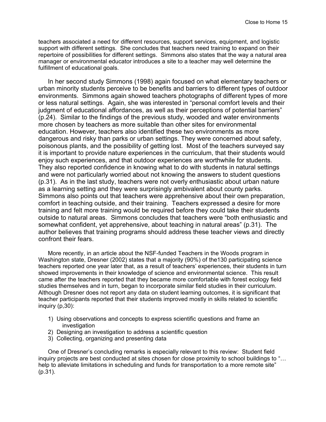teachers associated a need for different resources, support services, equipment, and logistic support with different settings. She concludes that teachers need training to expand on their repertoire of possibilities for different settings. Simmons also states that the way a natural area manager or environmental educator introduces a site to a teacher may well determine the fulfillment of educational goals.

In her second study Simmons (1998) again focused on what elementary teachers or urban minority students perceive to be benefits and barriers to different types of outdoor environments. Simmons again showed teachers photographs of different types of more or less natural settings. Again, she was interested in "personal comfort levels and their judgment of educational affordances, as well as their perceptions of potential barriers" (p.24). Similar to the findings of the previous study, wooded and water environments more chosen by teachers as more suitable than other sites for environmental education. However, teachers also identified these two environments as more dangerous and risky than parks or urban settings. They were concerned about safety, poisonous plants, and the possibility of getting lost. Most of the teachers surveyed say it is important to provide nature experiences in the curriculum, that their students would enjoy such experiences, and that outdoor experiences are worthwhile for students. They also reported confidence in knowing what to do with students in natural settings and were not particularly worried about not knowing the answers to student questions (p.31). As in the last study, teachers were not overly enthusiastic about urban nature as a learning setting and they were surprisingly ambivalent about county parks. Simmons also points out that teachers were apprehensive about their own preparation, comfort in teaching outside, and their training. Teachers expressed a desire for more training and felt more training would be required before they could take their students outside to natural areas. Simmons concludes that teachers were "both enthusiastic and somewhat confident, yet apprehensive, about teaching in natural areas" (p.31). The author believes that training programs should address these teacher views and directly confront their fears.

More recently, in an article about the NSF-funded Teachers in the Woods program in Washington state, Dresner (2002) states that a majority (90%) of the130 participating science teachers reported one year later that, as a result of teachers' experiences, their students in turn showed improvements in their knowledge of science and environmental science. This result came after the teachers reported that they became more comfortable with forest ecology field studies themselves and in turn, began to incorporate similar field studies in their curriculum. Although Dresner does not report any data on student learning outcomes, it is significant that teacher participants reported that their students improved mostly in skills related to scientific inquiry (p,30):

- 1) Using observations and concepts to express scientific questions and frame an investigation
- 2) Designing an investigation to address a scientific question
- 3) Collecting, organizing and presenting data

One of Dresner's concluding remarks is especially relevant to this review: Student field inquiry projects are best conducted at sites chosen for close proximity to school buildings to "… help to alleviate limitations in scheduling and funds for transportation to a more remote site" (p.31).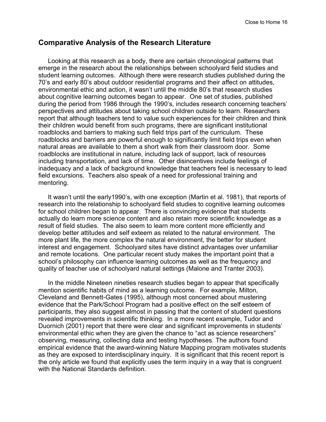#### **Comparative Analysis of the Research Literature**

Looking at this research as a body, there are certain chronological patterns that emerge in the research about the relationships between schoolyard field studies and student learning outcomes. Although there were research studies published during the 70's and early 80's about outdoor residential programs and their affect on attitudes, environmental ethic and action, it wasn't until the middle 80's that research studies about cognitive learning outcomes began to appear. One set of studies, published during the period from 1986 through the 1990's, includes research concerning teachers' perspectives and attitudes about taking school children outside to learn. Researchers report that although teachers tend to value such experiences for their children and think their children would benefit from such programs, there are significant institutional roadblocks and barriers to making such field trips part of the curriculum. These roadblocks and barriers are powerful enough to significantly limit field trips even when natural areas are available to them a short walk from their classroom door. Some roadblocks are institutional in nature, including lack of support, lack of resources including transportation, and lack of time. Other disincentives include feelings of inadequacy and a lack of background knowledge that teachers feel is necessary to lead field excursions. Teachers also speak of a need for professional training and mentoring.

It wasn't until the early1990's, with one exception (Martin et al. 1981), that reports of research into the relationship to schoolyard field studies to cognitive learning outcomes for school children began to appear. There is convincing evidence that students actually do learn more science content and also retain more scientific knowledge as a result of field studies. The also seem to learn more content more efficiently and develop better attitudes and self exteem as related to the natural environment. The more plant life, the more complex the natural environment, the better for student interest and engagement. Schoolyard sites have distinct advantages over unfamiliar and remote locations. One particular recent study makes the important point that a school's philosophy can influence learning outcomes as well as the frequency and quality of teacher use of schoolyard natural settings (Malone and Tranter 2003).

In the middle Nineteen nineties research studies began to appear that specifically mention scientific habits of mind as a learning outcome. For example, Milton, Cleveland and Bennett-Gates (1995), although most concerned about mustering evidence that the Park/School Program had a positive effect on the self esteem of participants, they also suggest almost in passing that the content of student questions revealed improvements in scientific thinking. In a more recent example, Tudor and Duornich (2001) report that there were clear and significant improvements in students' environmental ethic when they are given the chance to "act as science researchers" observing, measuring, collecting data and testing hypotheses. The authors found empirical evidence that the award-winning Nature Mapping program motivates students as they are exposed to interdisciplinary inquiry. It is significant that this recent report is the only article we found that explicitly uses the term inquiry in a way that is congruent with the National Standards definition.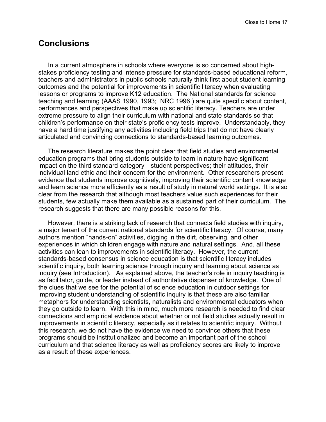#### **Conclusions**

In a current atmosphere in schools where everyone is so concerned about highstakes proficiency testing and intense pressure for standards-based educational reform, teachers and administrators in public schools naturally think first about student learning outcomes and the potential for improvements in scientific literacy when evaluating lessons or programs to improve K12 education. The National standards for science teaching and learning (AAAS 1990, 1993; NRC 1996 ) are quite specific about content, performances and perspectives that make up scientific literacy. Teachers are under extreme pressure to align their curriculum with national and state standards so that children's performance on their state's proficiency tests improve. Understandably, they have a hard time justifying any activities including field trips that do not have clearly articulated and convincing connections to standards-based learning outcomes.

The research literature makes the point clear that field studies and environmental education programs that bring students outside to learn in nature have significant impact on the third standard category—student perspectives; their attitudes, their individual land ethic and their concern for the environment. Other researchers present evidence that students improve cognitively, improving their scientific content knowledge and learn science more efficiently as a result of study in natural world settings. It is also clear from the research that although most teachers value such experiences for their students, few actually make them available as a sustained part of their curriculum. The research suggests that there are many possible reasons for this.

However, there is a striking lack of research that connects field studies with inquiry, a major tenant of the current national standards for scientific literacy. Of course, many authors mention "hands-on" activities, digging in the dirt, observing, and other experiences in which children engage with nature and natural settings. And, all these activities can lean to improvements in scientific literacy. However, the current standards-based consensus in science education is that scientific literacy includes scientific inquiry, both learning science through inquiry and learning about science as inquiry (see Introduction). As explained above, the teacher's role in inquiry teaching is as facilitator, guide, or leader instead of authoritative dispenser of knowledge. One of the clues that we see for the potential of science education in outdoor settings for improving student understanding of scientific inquiry is that these are also familiar metaphors for understanding scientists, naturalists and environmental educators when they go outside to learn. With this in mind, much more research is needed to find clear connections and empirical evidence about whether or not field studies actually result in improvements in scientific literacy, especially as it relates to scientific inquiry. Without this research, we do not have the evidence we need to convince others that these programs should be institutionalized and become an important part of the school curriculum and that science literacy as well as proficiency scores are likely to improve as a result of these experiences.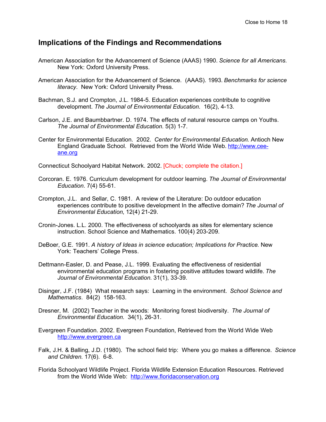#### **Implications of the Findings and Recommendations**

- American Association for the Advancement of Science (AAAS) 1990. *Science for all Americans*. New York: Oxford University Press.
- American Association for the Advancement of Science. (AAAS). 1993. *Benchmarks for science literacy*. New York: Oxford University Press.
- Bachman, S.J. and Crompton, J.L. 1984-5. Education experiences contribute to cognitive development. *The Journal of Environmental Education*. 16(2), 4-13.
- Carlson, J.E. and Baumbbartner. D. 1974. The effects of natural resource camps on Youths. *The Journal of Environmental Education*. 5(3) 1-7.
- Center for Environmental Education. 2002. *Center for Environmental Education*. Antioch New England Graduate School. Retrieved from the World Wide Web. http://www.ceeane.org
- Connecticut Schoolyard Habitat Network. 2002. [Chuck; complete the citation.]
- Corcoran. E. 1976. Curriculum development for outdoor learning. *The Journal of Environmental Education*. 7(4) 55-61.
- Crompton, J.L. and Sellar, C. 1981. A review of the Literature: Do outdoor education experiences contribute to positive development In the affective domain? *The Journal of Environmental Education*, 12(4) 21-29.
- Cronin-Jones. L.L. 2000. The effectiveness of schoolyards as sites for elementary science instruction. School Science and Mathematics. 100(4) 203-209.
- DeBoer, G.E. 1991. *A history of Ideas in science education; Implications for Practice*. New York: Teachers' College Press.
- Dettmann-Easler, D. and Pease, J.L. 1999. Evaluating the effectiveness of residential environmental education programs in fostering positive attitudes toward wildlife. *The Journal of Environmental Education*. 31(1), 33-39.
- Disinger, J.F. (1984) What research says: Learning in the environment. *School Science and Mathematics*. 84(2) 158-163.
- Dresner, M. (2002) Teacher in the woods: Monitoring forest biodiversity. *The Journal of Environmental Education.* 34(1), 26-31.
- Evergreen Foundation. 2002. Evergreen Foundation, Retrieved from the World Wide Web http://www.evergreen.ca
- Falk, J.H. & Balling, J.D. (1980). The school field trip: Where you go makes a difference. *Science and Children*. 17(6). 6-8.
- Florida Schoolyard Wildlife Project. Florida Wildlife Extension Education Resources. Retrieved from the World Wide Web: http://www.floridaconservation.org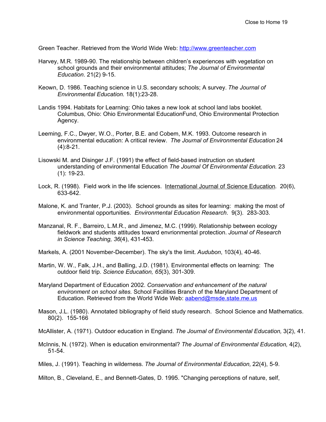Green Teacher. Retrieved from the World Wide Web: http://www.greenteacher.com

- Harvey, M.R. 1989-90. The relationship between children's experiences with vegetation on school grounds and their environmental attitudes; *The Journal of Environmental Education*. 21(2) 9-15.
- Keown, D. 1986. Teaching science in U.S. secondary schools; A survey. *The Journal of Environmental Education*. 18(1):23-28.
- Landis 1994. Habitats for Learning: Ohio takes a new look at school land labs booklet. Columbus, Ohio: Ohio Environmental EducationFund, Ohio Environmental Protection Agency.
- Leeming, F.C., Dwyer, W.O., Porter, B.E. and Cobem, M.K. 1993. Outcome research in environmental education: A critical review. *The Journal of Environmental Education* 24 (4):8-21.
- Lisowski M. and Disinger J.F. (1991) the effect of field-based instruction on student understanding of environmental Education *The Journal Of Environmental Education*. 23 (1): 19-23.
- Lock, R. (1998). Field work in the life sciences. International Journal of Science Education. 20(6), 633-642.
- Malone, K. and Tranter, P.J. (2003). School grounds as sites for learning: making the most of environmental opportunities. *Environmental Education Research*. 9(3). 283-303.
- Manzanal, R. F., Barreiro, L.M.R., and Jimenez, M.C. (1999). Relationship between ecology fieldwork and students attitudes toward envrionmental protection. *Journal of Research in Science Teaching, 36*(4), 431-453.
- Markels, A. (2001 November-December). The sky's the limit. *Audubon*, 103(4), 40-46.
- Martin, W. W., Falk, J.H., and Balling, J.D. (1981). Environmental effects on learning: The outdoor field trip. *Science Education, 65*(3), 301-309.
- Maryland Department of Education 2002. *Conservation and enhancement of the natural environment on school sites.* School Facilities Branch of the Maryland Department of Education. Retrieved from the World Wide Web: aabend@msde.state.me.us
- Mason, J.L. (1980). Annotated bibliography of field study research. School Science and Mathematics. 80(2). 155-166
- McAllister, A. (1971). Outdoor education in England. *The Journal of Environmental Education,* 3(2), 41.
- McInnis, N. (1972). When is education environmental? *The Journal of Environmental Education,* 4(2), 51-54.
- Miles, J. (1991). Teaching in wilderness. *The Journal of Environmental Education,* 22(4), 5-9.

Milton, B., Cleveland, E., and Bennett-Gates, D. 1995. "Changing perceptions of nature, self,